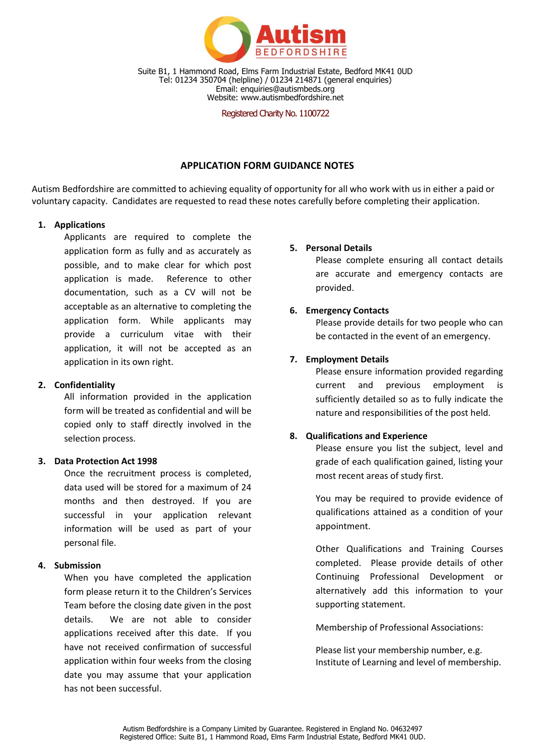

Suite B1, 1 Hammond Road, Elms Farm Industrial Estate, Bedford MK41 0UD Tel: 01234 350704 (helpline) / 01234 214871 (general enquiries) Email: enquiries@autismbeds.org Website: www.autismbedfordshire.net

Registered Charity No. 1100722

# **APPLICATION FORM GUIDANCE NOTES**

Autism Bedfordshire are committed to achieving equality of opportunity for all who work with us in either a paid or voluntary capacity. Candidates are requested to read these notes carefully before completing their application.

## **1. Applications**

Applicants are required to complete the application form as fully and as accurately as possible, and to make clear for which post application is made. Reference to other documentation, such as a CV will not be acceptable as an alternative to completing the application form. While applicants may provide a curriculum vitae with their application, it will not be accepted as an application in its own right.

# **2. Confidentiality**

All information provided in the application form will be treated as confidential and will be copied only to staff directly involved in the selection process.

### **3. Data Protection Act 1998**

Once the recruitment process is completed, data used will be stored for a maximum of 24 months and then destroyed. If you are successful in your application relevant information will be used as part of your personal file.

# **4. Submission**

When you have completed the application form please return it to the Children's Services Team before the closing date given in the post details. We are not able to consider applications received after this date. If you have not received confirmation of successful application within four weeks from the closing date you may assume that your application has not been successful.

### **5. Personal Details**

Please complete ensuring all contact details are accurate and emergency contacts are provided.

# **6. Emergency Contacts**

Please provide details for two people who can be contacted in the event of an emergency.

## **7. Employment Details**

Please ensure information provided regarding current and previous employment is sufficiently detailed so as to fully indicate the nature and responsibilities of the post held.

### **8. Qualifications and Experience**

Please ensure you list the subject, level and grade of each qualification gained, listing your most recent areas of study first.

You may be required to provide evidence of qualifications attained as a condition of your appointment.

Other Qualifications and Training Courses completed. Please provide details of other Continuing Professional Development or alternatively add this information to your supporting statement.

Membership of Professional Associations:

Please list your membership number, e.g. Institute of Learning and level of membership.